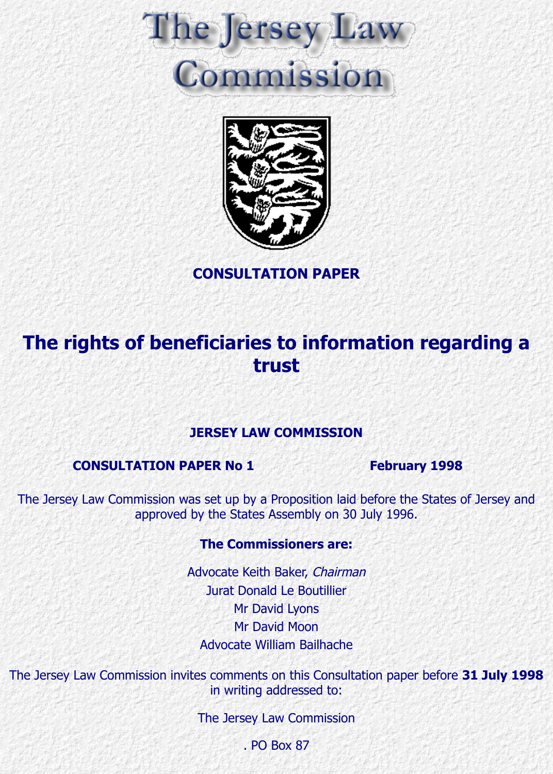



**CONSULTATION PAPER**

# **The rights of beneficiaries to information regarding a trust**

# **JERSEY LAW COMMISSION**

# **CONSULTATION PAPER No 1 February 1998**

The Jersey Law Commission was set up by a Proposition laid before the States of Jersey and approved by the States Assembly on 30 July 1996.

# **The Commissioners are:**

Advocate Keith Baker, Chairman Jurat Donald Le Boutillier Mr David Lyons Mr David Moon Advocate William Bailhache

The Jersey Law Commission invites comments on this Consultation paper before **31 July 1998** in writing addressed to:

The Jersey Law Commission

. PO Box 87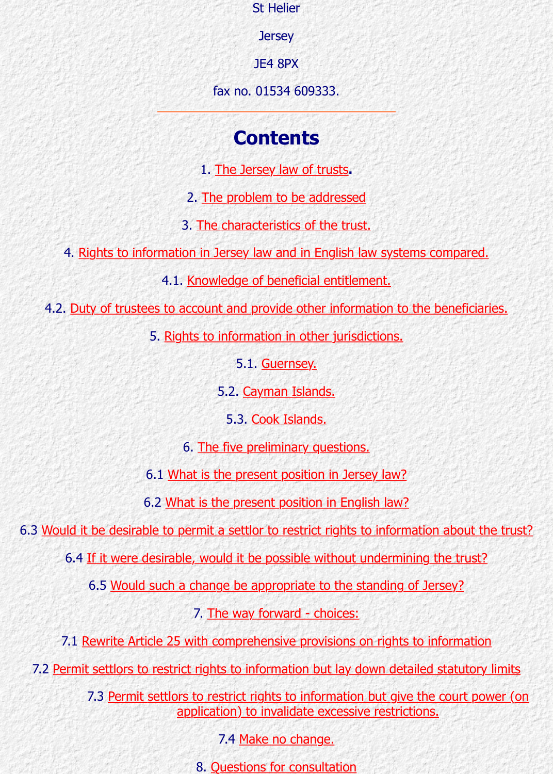1. The Jersey law of trusts**.**

**Contents and the Contents of Contents and Contents and Contents and Contents and Contents and Contents and Contents and Contents and Contents and Contents and Contents and Contents and Contents and Contents and Contents a** 

2. The problem to be addressed

3. The characteristics of the trust.

4. Rights to information in Jersey law and in English law systems compared

4.1. Knowledge of beneficial entitlement.

4.2. Duty of trustees to accou[nt and provide other info](http://www.lawcomm.gov.je/consultation1.html#Section1)rmation to the beneficia

5. Rights [to information in other jurisdi](http://www.lawcomm.gov.je/consultation1.html#Section2)ctions.

[5.1. Guernsey.](http://www.lawcomm.gov.je/consultation1.html#Section3)

[5.2. Cayman Islands.](http://www.lawcomm.gov.je/consultation1.html#Section4)

[5.3. Cook Islands.](http://www.lawcomm.gov.je/consultation1.html#Section41)

[6. The five preliminary questions.](http://www.lawcomm.gov.je/consultation1.html#Section42)

6.1 [What is the present position in Jersey law?](http://www.lawcomm.gov.je/consultation1.html#Section5)

6.2 What is the pres[ent position](http://www.lawcomm.gov.je/consultation1.html#Section52) in English law?

6.3 Would it be desirable to permit a se[ttlor to restrict rig](http://www.lawcomm.gov.je/consultation1.html#Section52)hts to information about to

6.4 If it were desirable, would it [be possible wit](http://www.lawcomm.gov.je/consultation1.html#Section53)hout undermining the trust?

6.5 Would such a c[hange be appropriate to the sta](http://www.lawcomm.gov.je/consultation1.html#Section6)nding of Jersey?

[7. The way forward - choices:](http://www.lawcomm.gov.je/consultation1.html#Section6.1)

7.1 Rewrite Article [25 with comprehensive provisions on rights](http://www.lawcomm.gov.je/consultation1.html#Section6.2) to information

7.2 Permit settlors to restrict rights to information but lay down detailed statutory

[7.3 Permit settlors to restrict rights to information but give the court pow](http://www.lawcomm.gov.je/consultation1.html#Section6.4)er application) to invalidate excessive restrictions.

[7.4 Make no change.](http://www.lawcomm.gov.je/consultation1.html#Section6.5)

8[. Questions for consultation](http://www.lawcomm.gov.je/consultation1.html#Section7)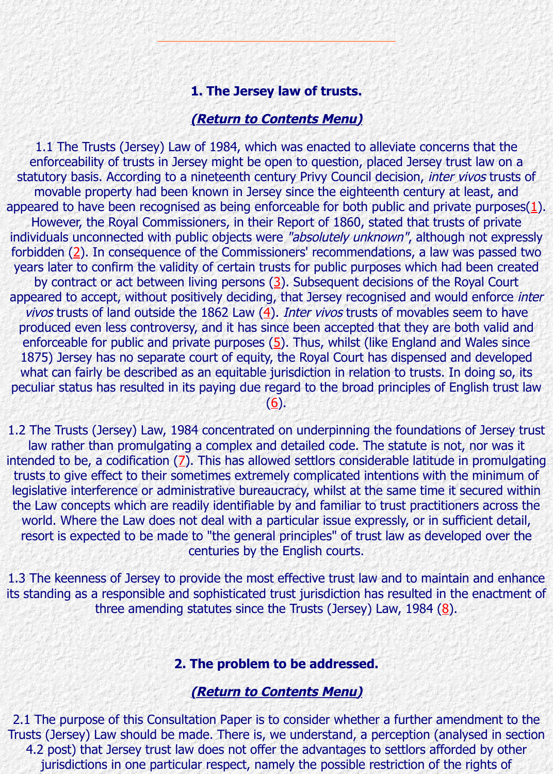1.1 The Trusts (Jersey) Law of 1984, which was enacted to alleviate concerns that the enforceability of trusts in Jersey might be open to question, placed Jersey trust la statutory basis. According to a nineteenth century Privy Council decision, *inter vivos* movable property had been known in Jersey since the eighteenth century at least appeared to have been recognised as being enforceable for both public and private pu However, the Royal Commissioners, in their Report of 1860, stated that trusts of individuals unconnected with public objects were "absolutely unknown", although not forbidden  $(2)$ . In consequence of the Commissioners' recommendations, a law was p years later to confirm the validi[ty of certain trusts for public pu](http://www.lawcomm.gov.je/consultation1.html#contents)rposes which had been created up by contract or act between living persons  $(3)$ . Subsequent decisions of the Royal appeared to accept, without positively deciding, that Jersey recognised and would en vivos trusts of land outside the 1862 Law  $(4)$ . Inter vivos trusts of movables seem produced even less controversy, and it has since been accepted that they are both enforceable for public and private purposes  $(5)$ . Thus, whilst (like England and Wal 1875) Jersey has no separate court of equity, the Royal Court has [d](http://www.lawcomm.gov.je/footnotes.html#FN1)ispensed and de what can fairly be described as an equitable jurisdiction in relation to trusts. In doir peculiar st[atu](http://www.lawcomm.gov.je/footnotes.html#FN2)s has resulted in its paying due regard to the broad principles of English  $(6).$ 

1.2 The Trusts (Jersey) Law, 1984 concentrate[d o](http://www.lawcomm.gov.je/footnotes.html#FN3)n underpinning the foundations of J law rather than promulgating a complex and detailed code. The statute is not, no intended to be, a codification (7). This has all[ow](http://www.lawcomm.gov.je/footnotes.html#FN4)ed settlors considerable latitude in promulgation trusts to give effect to their sometimes extremely complicated intentions with the mi legislative interference or administrative burea[uc](http://www.lawcomm.gov.je/footnotes.html#FN5)racy, whilst at the same time it secure the Law concepts which are readily identifiable by and familiar to trust practitioners at world. Where the Law does not deal with a particular issue expressly, or in sufficient resort is expected to be made to "the general principles" of trust law as developed centuries by t[he](http://www.lawcomm.gov.je/footnotes.html#FN6) English courts.

1.3 The keenness of Jersey to provide the most effective trust law and to maintain an its standing as a responsible and sophisticated trust jurisdiction has resulted in the en three amendin[g](http://www.lawcomm.gov.je/footnotes.html#FN7) statutes since the Trusts (Jersey) Law, 1984 (8).

#### **2. The problem to be addressed.**

#### **(Return to Contents Menu)**

2.1 The purpose of this Consultation Paper is to consider whether a further amendm Trusts (Jersey) Law should be made. There is, we understand, a perception (analysed 4.2 post) that Jersey trust law does not offer the advantages to settlors af[fo](http://www.lawcomm.gov.je/footnotes.html#FN8)rded b jurisdictions in one particular respect, namely the possible restriction of the right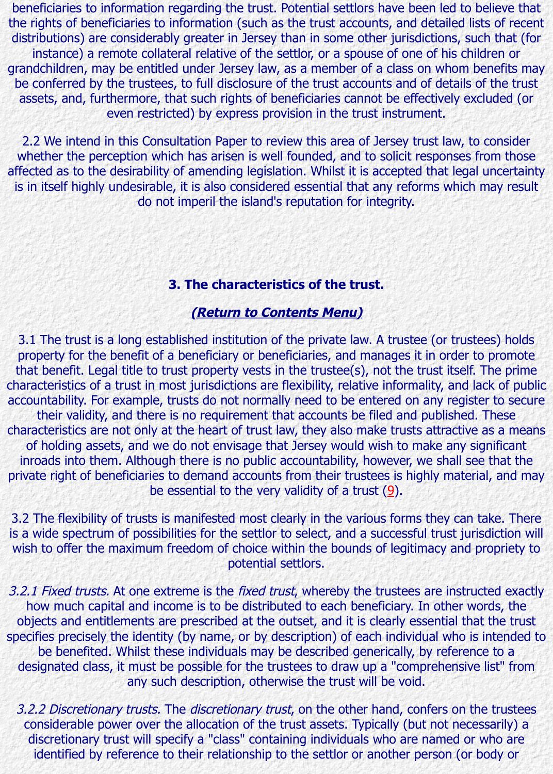2.2 We intend in this Consultation Paper to review this area of Jersey trust law, to consider whether the perception which has arisen is well founded, and to solicit responses from affected as to the desirability of amending legislation. Whilst it is accepted that legal uncertainty is in itself highly undesirable, it is also considered essential that any reforms which r do not imperil the island's reputation for integrity.

# **3. The characteristics of the trust.**

# **(Return to Contents Menu)**

3.1 The trust is a long established institution of the private law. A trustee (or truste property for the benefit of a beneficiary or beneficiaries, and manages it in order to that benefit. Legal title to trust property vests in the trustee(s), not the trust itself. The primation characteristics of a trust in most jurisdictions are flexibility, relative informality, and lack accountability. For example, trusts do not normally need to be entered on any registe their validity, and there is no requirement that accounts be filed and published. characteristics are not only at the heart of trust law, they also make trusts attractive as of holding assets, and we do not envisage that Jersey would wish to make any sig inroads into them. Although t[here is no public accountability,](http://www.lawcomm.gov.je/consultation1.html#contents) however, we shall see private right of beneficiaries to demand accounts from their trustees is highly materia be essential to the very validity of a trust (9).

3.2 The flexibility of trusts is manifested most clearly in the various forms they can take. is a wide spectrum of possibilities for the settlor to select, and a successful trust juris wish to offer the maximum freedom of choice within the bounds of legitimacy and proportion potential settlors.

3.2.1 Fixed trusts. At one extreme is the fixed trust, whereby the trustees are instruct how much capital and income is to be distributed to each beneficiary. In other wo objects and entitlements are prescribed at the outset, and it is clearly essential that specifies precisely the identity (by name, or by description) of each [in](http://www.lawcomm.gov.je/footnotes.html#FN9)dividual who is i be benefited. Whilst these individuals may be described generically, by reference designated class, it must be possible for the trustees to draw up a "comprehensive any such description, otherwise the trust will be void.

3.2.2 Discretionary trusts. The discretionary trust, on the other hand, confers on the considerable power over the allocation of the trust assets. Typically (but not neces discretionary trust will specify a "class" containing individuals who are named or v identified by reference to their relationship to the settlor or another person (or b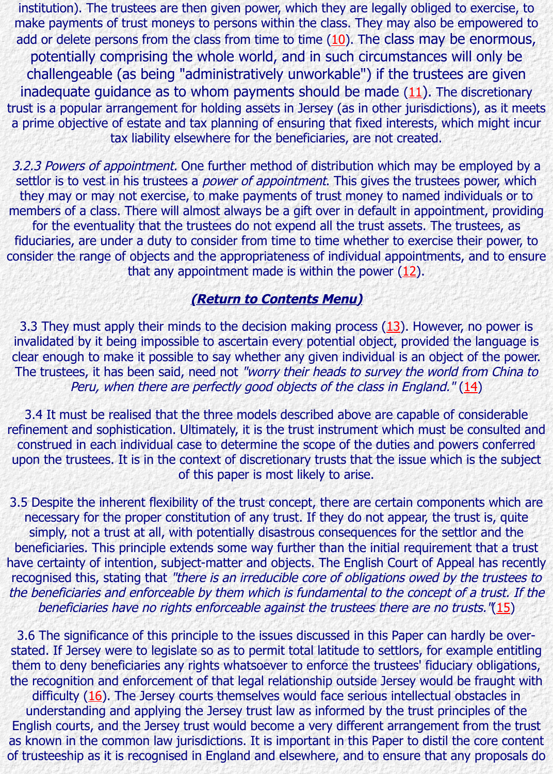3.2.3 Powers of appointment. One further method of distribution which may be emp settlor is to vest in his trustees a *power of appointment*. [Th](http://www.lawcomm.gov.je/footnotes.html#FN10)is gives the trustees pow they may or may not exercise, to make payments of trust money to named individu members of a class. There will almost always be a gift over in default in appointment for the eventuality that the trustees do not expend all the trust assets. The truste fiduciaries, are under a duty to consider from time to time whether to [exe](http://www.lawcomm.gov.je/footnotes.html#FN11)rcise their consider the range of objects and the appropriateness of individual appointments, and that any appointment made is within the power  $(12)$ .

# **(Return to Contents Menu)**

3.3 They must apply their minds to the decision making process  $(13)$ . However, no invalidated by it being impossible to ascertain every potential object, provided the la clear enough to make it possible to say whether any given individual is an object of t The trustees, it has been said, need not "worry their heads to survey the world fron Peru, when there are perfectly good objects of the class in England." (14)

3.4 It must be realised that the three models described above are [capa](http://www.lawcomm.gov.je/footnotes.html#FN12)ble of cons refinement and sophistication. Ultimately, it is the trust instrument which must be consulted and construed in each individual ca[se to determine the scope of th](http://www.lawcomm.gov.je/consultation1.html#contents)e duties and powers or upon the trustees. It is in the context of discretionary trusts that t[he i](http://www.lawcomm.gov.je/footnotes.html#FN13)ssue which is the of this paper is most likely to arise.

3.5 Despite the inherent flexibility of the trust concept, there are certain components necessary for the proper constitution of any trust. If they do not appear, the trust simply, not a trust at all, with potentially disastrous consequences for the sett[lor](http://www.lawcomm.gov.je/footnotes.html#FN14) a beneficiaries. This principle extends some way further than the initial requirement the have certainty of intention, subject-matter and objects. The English Court of Appeal h recognised this, stating that "there is an irreducible core of obligations owed by the t the beneficiaries and enforceable by them which is fundamental to the concept of a t beneficiaries have no rights enforceable against the trustees there are no trusts.

3.6 The significance of this principle to the issues discussed in this Paper can hardly stated. If Jersey were to legislate so as to permit total latitude to settlors, for examp them to deny beneficiaries any rights whatsoever to enforce the trustees' fiduciary o the recognition and enforcement of that legal relationship outside Jersey would be fraught difficulty  $(16)$ . The Jersey courts themselves would face serious intellectual obsta understanding and applying the Jersey trust law as informed by the trust principle English courts, and the Jersey trust would become a very different arrangement fron as known in the common law jurisdictions. It is important in this Paper to distil the co of trusteeship as it is recognised in England and elsewhere, and to ensure that any pro[pos](http://www.lawcomm.gov.je/footnotes.html#FN15)e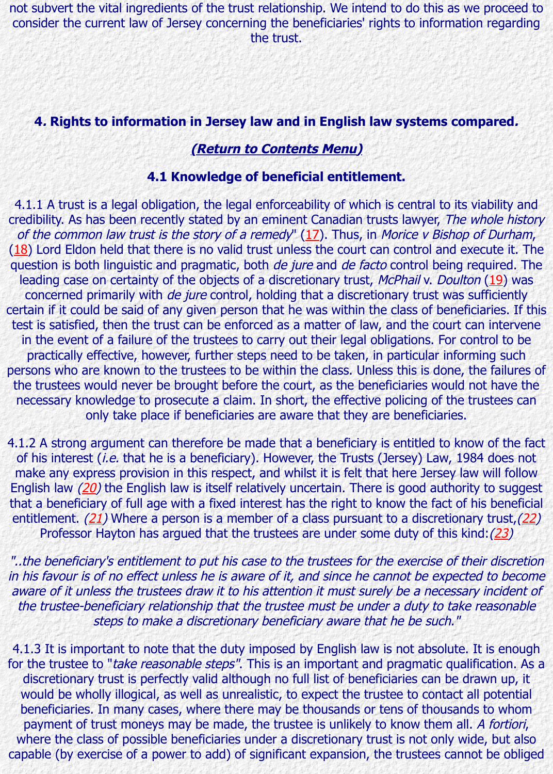#### **(Return to Contents Menu)**

#### **4.1 Knowledge of beneficial entitlement.**

4.1.1 A trust is a legal obligation, the legal enforceability of which is central to its via credibility. As has been recently stated by an eminent Canadian trusts lawyer, The wh of the common law trust is the story of a remedy"  $(17)$ . Thus, in Morice v Bishop of  $(18)$  Lord Eldon held that there is no valid trust unless the court can control and execute it. question is both linguistic and pragmatic, both de jure and de facto control being req leading case on certainty of the objects of a discretionary trust, McPhail v. Doulton concerned primarily with *de jure* [control, holding that a discr](http://www.lawcomm.gov.je/consultation1.html#contents)etionary trust was suf certain if it could be said of any given person that he was within the class of beneficia test is satisfied, then the trust can be enforced as a matter of law, and the court can in the event of a failure of the trustees to carry out their legal obligations. For cont practically effective, however, further steps need to be taken, in particular informing persons who are known to the trustees to be within the class. Unless this is done, the the trustees would never be brought before the cou[rt, a](http://www.lawcomm.gov.je/footnotes.html#FN17)s the beneficiaries would not [ne](http://www.lawcomm.gov.je/footnotes.html#FN18)cessary knowledge to prosecute a claim. In short, the effective policing of the tru only take place if beneficiaries are aware that they are beneficiaries.

4.1.2 A strong argument can therefore be made that a beneficiary is entitled to know of his interest (i.e. that he is a beneficiary). However, the Trusts (Jersey) Law, 1984 make any express provision in this respect, and whilst it is felt that here Jersey law English law  $(20)$  the English law is itself relatively uncertain. There is good authority that a beneficiary of full age with a fixed interest has the right to know the fact of his entitlement.  $(21)$  Where a person is a member of a class pursuant to a discretionary Professor Hayton has argued that the trustees are under some duty of this kind

"..the beneficiary's entitlement to put his case to the trustees for the exercise of their in his favour is of no effect unless he is aware of it, and since he cannot be expected aware of it unless the trustees draw it to his attention it must surely be a necessary in the trustee-beneficiary relationship that the trustee must be under a duty to take re steps to make a discretionary beneficiary aware that he be such."

4.1.3 It is important to note that the duty imposed by English law is not absolute. It for the truste[e to](http://www.lawcomm.gov.je/footnotes.html#FN21) "take reasonable steps". This is an important and pragmatic qualific discretionary trust is perfectly valid although no full list of beneficiaries can be dray would be wholly illogical, as well as unrealistic, to expect the trustee to contact all beneficiaries. In many cases, where there may be thousands or tens of thousands payment of trust moneys may be made, the trustee is unlikely to know them all. A where the class of possible beneficiaries under a discretionary trust is not only wide capable (by exercise of a power to add) of significant expansion, the trustees cannot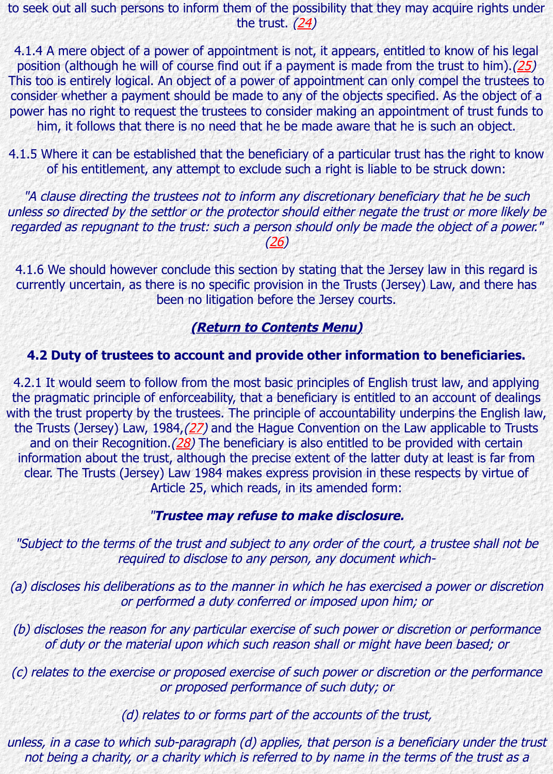4.1.5 Where it can be established that the beneficiary of a particular trust has the rig of his entitlement, any attempt to exclude s[uch](http://www.lawcomm.gov.je/footnotes.html#FN24) a right is liable to be struck do

"A clause directing the trustees not to inform any discretionary beneficiary that he unless so directed by the settlor or the protector should either negate the trust or mo regarded as repugnant to the trust: such a person should only be made the object of (26)

4.1.6 We should however conclude this section by stating that the Jersey law in this currently uncertain, as there is no specific provision in the Trusts (Jersey) Law, and been no litigation before the Jersey courts.

# **(Return to Contents Menu)**

# **4.2 Duty of trustees to account and provide other information to benefic**

4.2.1 It would seem to follow from the most [bas](http://www.lawcomm.gov.je/footnotes.html#FN26)ic principles of English trust law, and the pragmatic principle of enforceability, that a beneficiary is entitled to an account of with the trust property by the trustees. The principle of accountability underpins the E the Trusts (Jersey) Law, 1984,  $(27)$  and the Hague Convention on the Law applicable and on their Recognition.  $(28)$  The beneficiary is also entitled to be provided with information about the trust, although the precise extent of the latter duty at least is clear. The Trusts (Jersey) La[w 1984 makes express provision](http://www.lawcomm.gov.je/consultation1.html#contents) in these respects by v Article 25, which reads, in its amended form:

### "**Trustee may refuse to make disclosure.**

"Subject to the terms of the trust and subject to any order of the court, a trustee shall required to disclose to any person, any document which-

(a) discloses his deliberations [as](http://www.lawcomm.gov.je/footnotes.html#FN28) to the manner in which he has exercised a power or or performed a duty conferred or imposed upon him; or

 $(b)$  discloses the reason for any particular exercise of such power or discretion or performance that  $b$ of duty or the material upon which such reason shall or might have been based

 $(c)$  relates to the exercise or proposed exercise of such power or discretion or the performance or  $f$ or proposed performance of such duty; or

(d) relates to or forms part of the accounts of the trust,

unless, in a case to which sub-paragraph (d) applies, that person is a beneficiary und not being a charity, or a charity which is referred to by name in the terms of the tr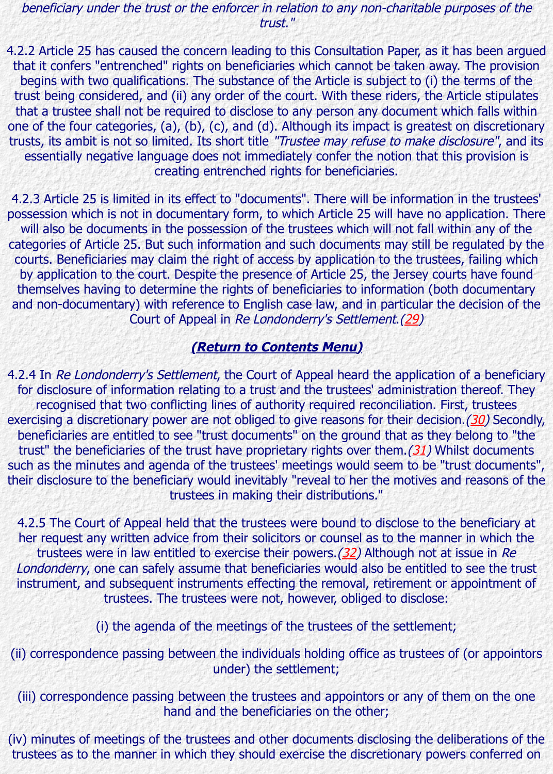trusts, its ambit is not so limited. Its short title "Trustee may refuse to make disclosure", and its essentially negative language does not immediately confer the notion that this pro creating entrenched rights for beneficiaries.

4.2.3 Article 25 is limited in its effect to "documents". There will be information in the possession which is not in documentary form, to which Article 25 will have no applica will also be documents in the possession of the trustees which will not fall within any categories of Article 25. But such information and such documents may still be regulated by the state by the b courts. Beneficiaries may claim the right of access by application to the trustees, fail by application to the court. Despite the presence of Article 25, the Jersey courts ha themselves having to determine the rights of beneficiaries to information (both documentary) and non-documentary) with reference to English case law, and in particular the decist Court of Appeal in Re Londonderry's Settlement.(29)

# **(Return to Contents Menu)**

4.2.4 In Re Londonderry's Settlement, the Court of Appeal heard the application of a for disclosure of information relating to a trust and the trustees' administration there recognised that two conflicting lines of authority required reconciliation. First, tru exercising a discretionary power are not obliged to give reasons for their decision.  $(30)$ beneficiaries are entitled to see "trust documents" on the ground that as they belon trust" the beneficiaries of the trust have proprietary rights over them.  $(31)$  Whilst do such as the minutes and agenda of the trustees' meetings would seem [to](http://www.lawcomm.gov.je/footnotes.html#FN29) be "trust do their disclosure to the beneficiary would inevitably "reveal to her the motives and reas tru[stees in making their distribution](http://www.lawcomm.gov.je/consultation1.html#contents)s."

4.2.5 The Court of Appeal held that the trustees were bound to disclose to the bene her request any written advice from their solicitors or counsel as to the manner in y trustees were in law entitled to exercise their powers. $(32)$  Although not at issue Londonderry, one can safely assume that beneficiaries would also be entitled to [see](http://www.lawcomm.gov.je/footnotes.html#FN30) instrument, and subsequent instruments effecting the removal, retirement or appoir trustees. The trustees were not, however, obliged to di[sclo](http://www.lawcomm.gov.je/footnotes.html#FN31)se:

(i) the agenda of the meetings of the trustees of the settlement;

(ii) correspondence passing between the individuals holding office as trustees of (or under) the settlement;

(iii) correspondence passing between the trustees and ap[poin](http://www.lawcomm.gov.je/footnotes.html#FN32)tors or any of them on hand and the beneficiaries on the other;

(iv) minutes of meetings of the trustees and other documents disclosing the deliberat trustees as to the manner in which they should exercise the discretionary powers con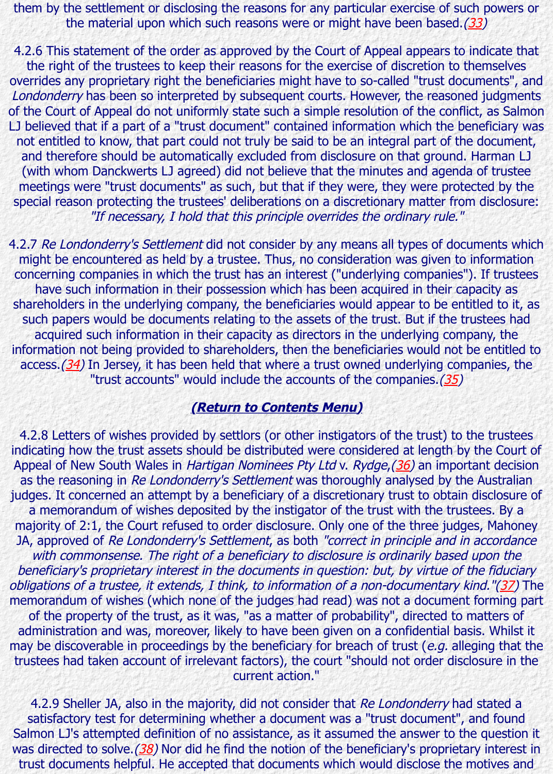not entitled to know, that part could not truly be said to be an integral part of the document, and therefore should be automatically excluded from disclosure on that ground. Ha (with whom Danckwerts LJ agreed) did not believe that the minutes and agend[a o](http://www.lawcomm.gov.je/footnotes.html#FN33)f meetings were "trust documents" as such, but that if they were, they were protected special reason protecting the trustees' deliberations on a discretionary matter from or "If necessary, I hold that this principle overrides the ordinary rule."

4.2.7 Re Londonderry's Settlement did not consider by any means all types of docum might be encountered as held by a trustee. Thus, no consideration was given to information concerning companies in which the trust has an interest ("underlying companies"). I have such information in their possession which has been acquired in their capar shareholders in the underlying company, the beneficiaries would appear to be entitle such papers would be documents relating to the assets of the trust. But if the trust acquired such information in their capacity as directors in the underlying compar information not being provided to shareholders, then the beneficiaries would not be access.  $(34)$  In Jersey, it has been held that where a trust owned underlying compa "trust accounts" would include the accounts of the companies. $(35)$ 

# **(Return to Contents Menu)**

4.2.8 Letters of wishes provided by settlors (or other instigators of the trust) to the indicating how the trust assets should be distributed were considered at length by the Appeal of New South Wales in Hartigan Nominees Pty Ltd v. Rydge, (36) an important as the reasoning in Re Londonderry's Settlement was thoroughly analysed by the A judges. It concerned an attempt by a beneficiary of a discretionary trust to obtain dis a me[mora](http://www.lawcomm.gov.je/footnotes.html#FN34)ndum of wishes deposited by the instigator of the trust with the trustee majority of 2:1, the Court refused to order disclosure. Only one of the three [jud](http://www.lawcomm.gov.je/footnotes.html#FN35)ges, JA, approved of Re Londonderry's Settlement, as both "correct in principle and in ad with commonsense. The rig[ht of a beneficiary to disclosure](http://www.lawcomm.gov.je/consultation1.html#contents) is ordinarily based up beneficiary's proprietary interest in the documents in question: but, by virtue of the obligations of a trustee, it extends, I think, to information of a non-documentary kind. memorandum of wishes (which none of the judges had read) was not a document for of the property of the trust, as it was, "as a matter of probability"[, d](http://www.lawcomm.gov.je/footnotes.html#FN36)irected to ma administration and was, moreover, likely to have been given on a confidential basis. may be discoverable in proceedings by the beneficiary for breach of trust ( $e.g.$  alleging trustees had taken account of irrelevant factors), the court "should not order disclos current action."

4.2.9 Sheller JA, also in the majority, did not consider that Re Londonderry had stated at a satisfactory test for determining whether a document was a "trust document", and Salmon LJ's attempted definition of no assistance, as it assumed the answer to the qu[esti](http://www.lawcomm.gov.je/footnotes.html#FN37)on was directed to solve.  $(38)$  Nor did he find the notion of the beneficiary's proprietary trust documents helpful. He accepted that documents which would disclose the motives are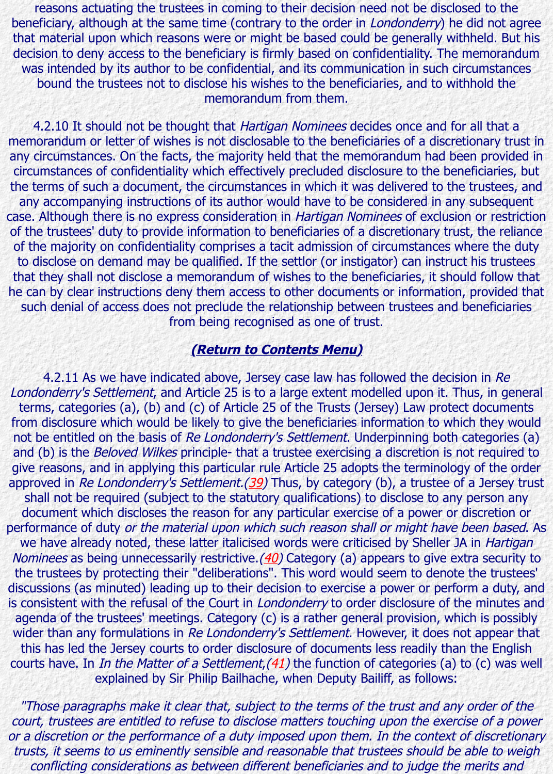any circumstances. On the facts, the majority held that the memorandum had been provided in the facts. circumstances of confidentiality which effectively precluded disclosure to the benefic the terms of such a document, the circumstances in which it was delivered to the trustees. any accompanying instructions of its author would have to be considered in any sul case. Although there is no express consideration in Hartigan Nominees of exclusion or of the trustees' duty to provide information to beneficiaries of a discretionary trust, the of the majority on confidentiality comprises a tacit admission of circumstances where to disclose on demand may be qualified. If the settlor (or instigator) can instruct his that they shall not disclose a memorandum of wishes to the beneficiaries, it should for he can by clear instructions deny them access to other documents or information, provided that such denial of access does not preclude the relationship between trustees and bene from being recognised as one of trust.

# **(Return to Contents Menu)**

4.2.11 As we have indicated above, Jersey case law has followed the decision in Londonderry's Settlement, and Article 25 is to a large extent modelled upon it. Thus, terms, categories (a), (b) and (c) of Article 25 of the Trusts (Jersey) Law protect do from disclosure which would be likely to give the beneficiaries information to which t not be entitled on the basis of Re Londonderry's Settlement. Underpinning both cate and (b) is the *Beloved Wilkes* principle- that a trustee exercising a discretion is not re give reasons, and in applying this particular rule Article 25 adopts the terminology of approved in Re Londonderry's Settlement.(39) Thus, by category (b), a trustee of a J shall not be required (subject [to the statutory qualifications\)](http://www.lawcomm.gov.je/consultation1.html#contents) to disclose to any per document which discloses the reason for any particular exercise of a power or discretion performance of duty or the material upon which such reason shall or might have been we have already noted, these latter italicised words were criticised by Sheller JA in Nominees as being unnecessarily restrictive. (40) Category (a) appears to give extra s the trustees by protecting their "deliberations". This word would seem to denote the discussions (as minuted) leading up to their decision to exercise a power or perform a is consistent with the refusal of the Court in *Londonderry* to order disclosure of the m agenda of the trustees' meetings. Category (c) is a rather general provision, which is wider than any formulations in Re Londo[nder](http://www.lawcomm.gov.je/footnotes.html#FN39)ry's Settlement. However, it does not appear that this has led the Jersey courts to order disclosure of documents less readily than the courts have. In In the Matter of a Settlement,  $(41)$  the function of categories (a) to (c explained by Sir Philip Bailhache, when Deputy Bailiff, as follows:

"Those paragraphs make it clear that, subj[ect](http://www.lawcomm.gov.je/footnotes.html#FN40) to the terms of the trust and any ord court, trustees are entitled to refuse to disclose matters touching upon the exercise or a discretion or the performance of a duty imposed upon them. In the context of di trusts, it seems to us eminently sensible and reasonable that trustees should be able conflicting considerations as between different beneficiaries and to judge the mei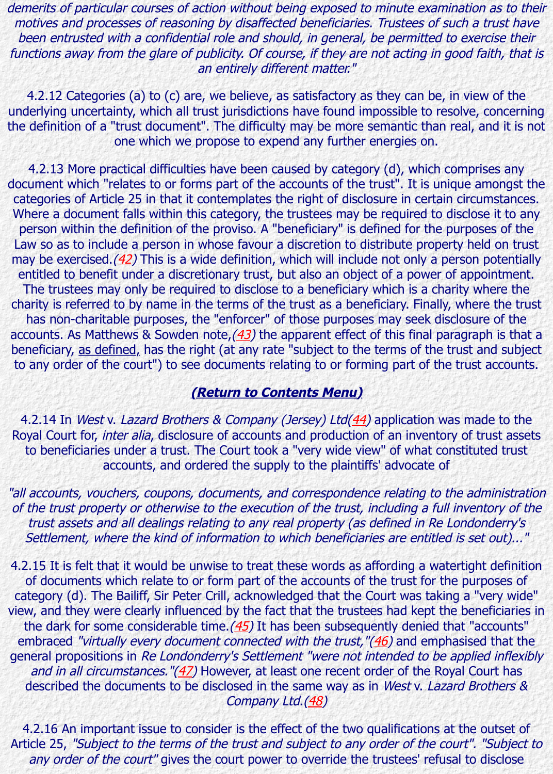#### one which we propose to expend any further energies on.

4.2.13 More practical difficulties have been caused by category (d), which comprist document which "relates to or forms part of the accounts of the trust". It is unique an categories of Article 25 in that it contemplates the right of disclosure in certain circui Where a document falls within this category, the trustees may be required to disclose person within the definition of the proviso. A "beneficiary" is defined for the purpos Law so as to include a person in whose favour a discretion to distribute property hel may be exercised. $(42)$  This is a wide definition, which will include not only a person entitled to benefit under a discretionary trust, but also an object of a power of appoint The trustees may only be required to disclose to a beneficiary which is a charity where charity is referred to by name in the terms of the trust as a beneficiary. Finally, where has non-charitable purposes, the "enforcer" of those purposes may seek disclosure accounts. As Matthews & Sowden note,  $(43)$  the apparent effect of this final paragrap beneficiary, as defined, has the right (at any rate "subject to the terms of the trust a to any order of the court") to see documents relating to or forming part of the trust

#### **(Return to Contents Menu)**

4.2.14 In West v. Lazard Brothers & Company (Jersey) Ltd(44) application was made Royal Court for, *inter alia*, disclosure of accounts and production of an inventory of tr to beneficiaries under a trust. The Court took a "very wide view" of what constituted to be neighborhoods. accounts, and ordered the supply to the plaintiffs' advocate of

"all accounts, vouchers, coupons, documents, and correspondence relating to the adr of the trust property or otherwise to the execution of the trust, including a full invent trust assets and all dealings relating to any real property (as defined in Re Londor Settlement, where the kind o[f information to which beneficia](http://www.lawcomm.gov.je/consultation1.html#contents)ries are entitled is set

4.2.15 It is felt that it would be unwise to treat these words [as a](http://www.lawcomm.gov.je/footnotes.html#FN44)ffording a watertight of documents which relate to or form part of the accounts of the trust for the purposes category (d). The Bailiff, Sir Peter Crill, acknowledged that the Court was taking a "v view, and they were clearly influenced by the fact that the trustees had kept the bene the dark for some considerable time.  $(45)$  It has been subsequently denied that "accounts" embraced "virtually every document connected with the trust,"(46) and emphasised general propositions in Re Londonderry's Settlement "were not intended to be applied and in all circumstances. " $(47)$  However, at least one recent order of the Royal Court described the documents to be disclosed in the same way as in West v. Lazard Bro Company Ltd.(48)

4.2.16 An important issue to consider is the effect of the two qualifications at the outset Article 25, "Subject to the terms of the trust and subject to any order of the court". any order of the court" gives the co[urt p](http://www.lawcomm.gov.je/footnotes.html#FN45)ower to override the trustees' refusal to d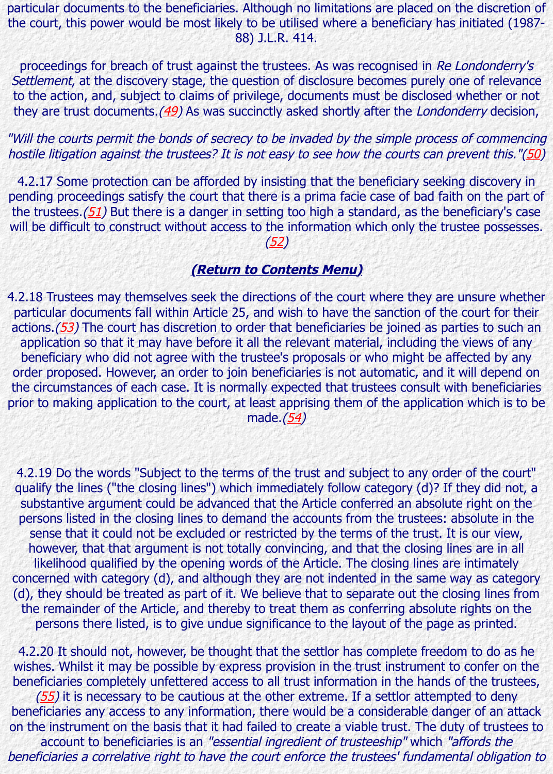hostile litigation against the trustees? It is not easy to see how the courts can prevent

4.2.17 Some protection can be afforded by insisting that the beneficiary seeking dis pending proceedings satisfy the court that there is a prima facie case of bad faith on the trustees.  $(51)$  But there is a danger in setting too high a standard, as the beneficial will be difficult to construct without access to the information which only the trustee

(52)

#### **(Return to Contents Menu)**

4.2.18 Trustees may themselves seek the directions of the court where they are unsu particular documents fall within Article 25, and wish to have the sanction of the court actions.( $53$ ) The court has discretion to order that beneficiaries be joined as parties to application so that it may have before it all the relevant material, including the view beneficiary [wh](http://www.lawcomm.gov.je/footnotes.html#FN51)o did not agree with the trustee's proposals or who might be affecte order proposed. However, an order to join beneficiaries is not automatic, and it will dependent the circumstances of each case. It is normally [ex](http://www.lawcomm.gov.je/footnotes.html#FN52)pected that trustees consult with be prior to making application to the court, at least apprising them of the application wh [made.](http://www.lawcomm.gov.je/consultation1.html#contents)(54)

4.2.19 [Do](http://www.lawcomm.gov.je/footnotes.html#FN53) the words "Subject to the terms of the trust and subject to any order of the court of the court of t qualify the lines ("the closing lines") which immediately follow category (d)? If they substantive argument could be advanced that the Article conferred an absolute right persons listed in the closing lines to demand the accounts from the trustees: absolute sense that it could not be excluded or restricted by the terms of the trust. It is our however, that that argument is not totally convincing, and that the closing lines are likelihood qualified by t[he](http://www.lawcomm.gov.je/footnotes.html#FN54) opening words of the Article. The closing lines are intirely concerned with category (d), and although they are not indented in the same way as (d), they should be treated as part of it. We believe that to separate out the closing the remainder of the Article, and thereby to treat them as conferring absolute right persons there listed, is to give undue significance to the layout of the page as pr

4.2.20 It should not, however, be thought that the settlor has complete freedom to wishes. Whilst it may be possible by express provision in the trust instrument to con beneficiaries completely unfettered access to all trust information in the hands of the

 $(55)$  it is necessary to be cautious at the other extreme. If a settlor attempted to beneficiaries any access to any information, there would be a considerable danger of on the instrument on the basis that it had failed to create a viable trust. The duty of

account to beneficiaries is an "essential ingredient of trusteeship" which "afford beneficiaries a correlative right to have the court enforce the trustees' fundamental o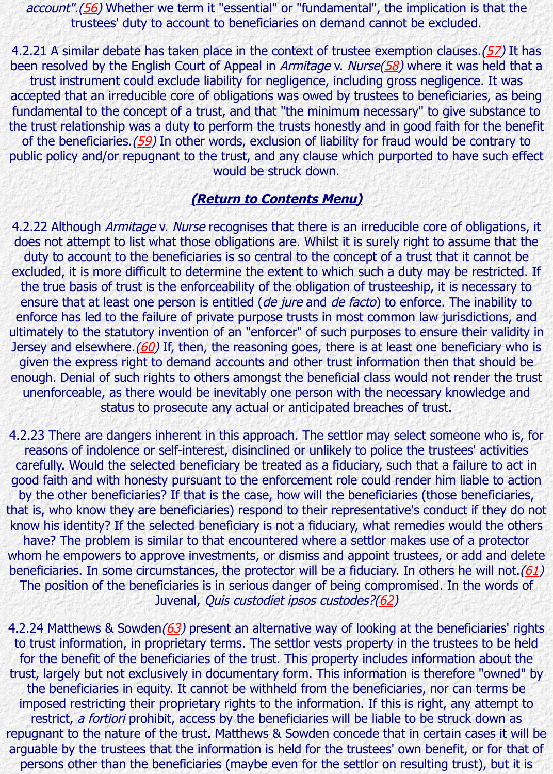of the beneficiaries.(59) In other words, exclusion of liability for fraud would be contrary to public policy [and](http://www.lawcomm.gov.je/footnotes.html#FN56)/or repugnant to the trust, and any clause which purported to have such effects. would be struck down.

### **(Return to Contents Menu)**

4.2.22 Although *Armitage v. Nurse* recognises that there is an irreducible core of obli does not attempt to list what those obligations are. Whilst it is surely right to assum duty to account to the beneficiaries is so central to the concept of a trust that it can excluded, it is more difficult to determine the extent to which such a duty may be reated. the true basis of tru[st is](http://www.lawcomm.gov.je/footnotes.html#FN59) the enforceability of the obligation of trusteeship, it is nece ensure that at least one person is entitled (de jure and de facto) to enforce. The in enforce has led to the failure of private purpose trusts in most common law jurisdict ultimately to the statutory invention of an "enforcer" of such purposes to ensure their Jersey and elsewhere.( $60$ ) If, th[en, the reasoning goes, there is](http://www.lawcomm.gov.je/consultation1.html#contents) at least one beneficial given the express right to demand accounts and other trust information then that s enough. Denial of such rights to others amongst the beneficial class would not render unenforceable, as there would be inevitably one person with the necessary knowle status to prosecute any actual or anticipated breaches of trust.

4.2.23 There are dangers inherent in this approach. The settlor may select someone reasons of indolence or self-interest, disinclined or unlikely to police the trustees' a carefully. Would the selected beneficiary be treated as a fiduciary, such that a failure good faith and with honesty pursuant to the enforcement role could render him liable by the other benefici[arie](http://www.lawcomm.gov.je/footnotes.html#FN60)s? If that is the case, how will the beneficiaries (those bene that is, who know they are beneficiaries) respond to their representative's conduct if t know his identity? If the selected beneficiary is not a fiduciary, what remedies would have? The problem is similar to that encountered where a settlor makes use of a p whom he empowers to approve investments, or dismiss and appoint trustees, or add beneficiaries. In some circumstances, the protector will be a fiduciary. In others he w The position of the beneficiaries is in serious danger of being compromised. In the Juvenal, Quis custodiet ipsos custodes?(62)

4.2.24 Matthews & Sowden( $63$ ) present an alternative way of looking at the beneficia to trust information, in proprietary terms. The settlor vests property in the trustees to for the benefit of the beneficiaries of the trust. This property includes information a trust, largely but not exclusively in documentary form. This information is therefore " the beneficiaries in equity. It cannot be withheld from the beneficiaries, nor can te imposed restricting their proprietary rights [to](http://www.lawcomm.gov.je/footnotes.html#FN61) the information. If this is right, any at restrict, a fortiori prohibit, access by the beneficiaries will be liable to be struck do repugnant to the nature of the trust. Matthews & Sowden concede that in certain case arguable by the trustees that the information is held for the trust[ees'](http://www.lawcomm.gov.je/footnotes.html#FN62) own benefit, or persons other than the be[nef](http://www.lawcomm.gov.je/footnotes.html#FN63)iciaries (maybe even for the settlor on resulting trust),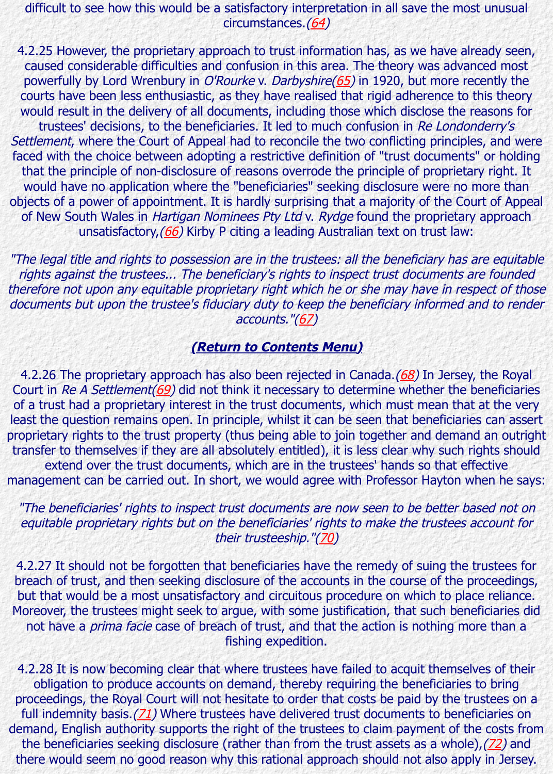Settlement, where the Court of Appeal had to reconcile the two conflicting principles, and were faced with the choice between adopting a restrictive definition of "trust documents" that the principle of non-disclosure of reasons over[rod](http://www.lawcomm.gov.je/footnotes.html#FN64)e the principle of proprietary would have no application where the "beneficiaries" seeking disclosure were no mo objects of a power of appointment. It is hardly surprising that a majority of the Court of New South Wales in Hartigan Nominees Pty Ltd v. Rydge found the proprietary a unsatisfactory, (66) Kirby P citing a leading Au[stra](http://www.lawcomm.gov.je/footnotes.html#FN65)lian text on trust law:

"The legal title and rights to possession are in the trustees: all the beneficiary has are rights against the trustees... The beneficiary's rights to inspect trust documents are therefore not upon any equitable proprietary right which he or she may have in respe documents but upon the trustee's fiduciary duty to keep the beneficiary informed and accounts."(67)

#### **(Return to Contents Menu)**

4.2.26 The [pro](http://www.lawcomm.gov.je/footnotes.html#FN66)prietary approach has also been rejected in Canada.(68) In Jersey, t Court in Re A Settlement( $69$ ) did not think it necessary to determine whether the be of a trust had a proprietary interest in the trust documents, which must mean that a least the question remains open. In principle, whilst it can be seen that beneficiaries proprietary rights to the trust property (thus being able to join together and demand transfer to themselves if they are all absolutely entitled), it is less clear why such rights show that extend over the trust documents, which are i[n th](http://www.lawcomm.gov.je/footnotes.html#FN67)e trustees' hands so that effective management can be carried out. [In short, we would agree with](http://www.lawcomm.gov.je/consultation1.html#contents) Professor Hayton whe

#### "The beneficiaries' rights to inspect trust documents are now seen to be better base equitable proprietary ri[g](http://www.lawcomm.gov.je/footnotes.html#FN69)hts but on [the](http://www.lawcomm.gov.je/footnotes.html#FN68) beneficiaries' rights to make the trustees ac their trusteeship."(70)

4.2.27 It should not be forgotten that beneficiaries have the remedy of suing the trustees for breach of trust, and then seeking disclosure of the accounts in the course of the pro but that would be a most unsatisfactory and circuitous procedure on which to place Moreover, the trustees might seek to argue, with some justification, that such benefi not have a *prima facie* case of breach of trust, and that the action is nothing more fishing expedition.

4.2.28 It is now becoming clear that where trustees have failed to acquit themselve obligation to produce accounts on demand, thereb[y re](http://www.lawcomm.gov.je/footnotes.html#FN70)quiring the beneficiaries to proceedings, the Royal Court will not hesitate to order that costs be paid by the trust full indemnity basis. $(71)$  Where trustees have delivered trust documents to benefic demand, English authority supports the right of the trustees to claim payment of the the beneficiaries seeking disclosure (rather than from the trust assets as a whole), there would seem no good reason why this rational approach should not also apply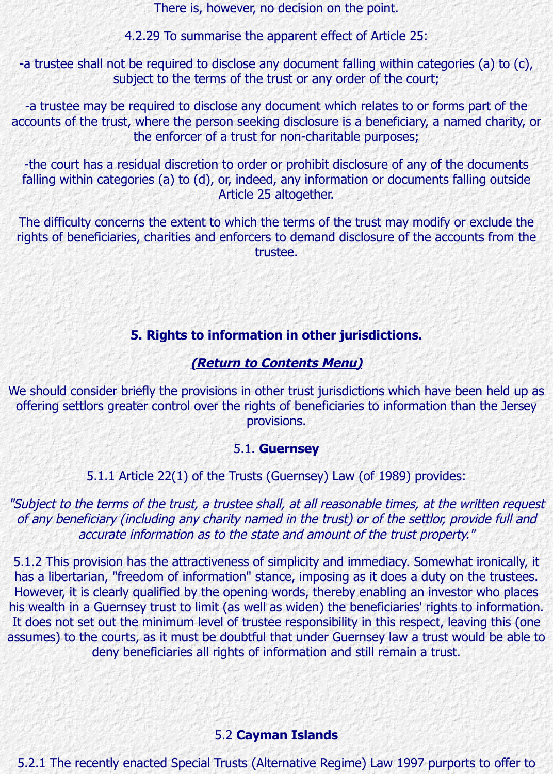-the court has a residual discretion to order or prohibit disclosure of any of the doc falling within categories (a) to (d), or, indeed, any information or documents falling Article 25 altogether.

The difficulty concerns the extent to which the terms of the trust may modify or exclude the rights of beneficiaries, charities and enforcers to demand disclosure of the accounts trustee.

# **5. Rights to information in other jurisdictions.**

# **(Return to Contents Menu)**

We should consider briefly the provisions in other trust jurisdictions which have been offering settlors greater control over the rights of beneficiaries to information than t provisions.

#### 5.1. **Guernsey**

### 5.1.1 Article 22(1) of the Trusts (Guernsey) Law (of 1989) provides:

"Subject to the terms of the tru[st, a trustee shall, at all reasona](http://www.lawcomm.gov.je/consultation1.html#contents)ble times, at the writt of any beneficiary (including any charity named in the trust) or of the settlor, provid accurate information as to the state and amount of the trust property."

5.1.2 This provision has the attractiveness of simplicity and immediacy. Somewhat ir has a libertarian, "freedom of information" stance, imposing as it does a duty on the However, it is clearly qualified by the opening words, thereby enabling an investor w his wealth in a Guernsey trust to limit (as well as widen) the beneficiaries' rights to in It does not set out the minimum level of trustee responsibility in this respect, leaving assumes) to the courts, as it must be doubtful that under Guernsey law a trust would deny beneficiaries all rights of information and still remain a trust.

#### 5.2 **Cayman Islands**

5.2.1 The recently enacted Special Trusts (Alternative Regime) Law 1997 purports t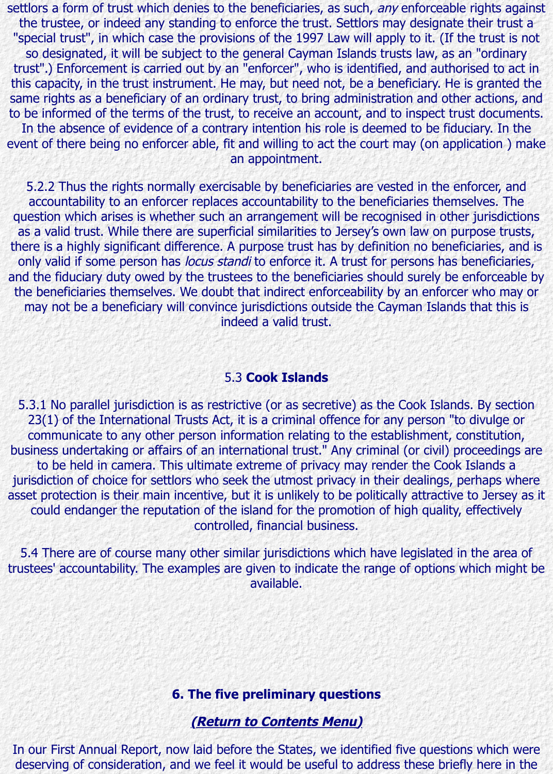event of there being no enforcer able, fit and willing to act the court may (on application ) make an appointment.

5.2.2 Thus the rights normally exercisable by beneficiaries are vested in the enfore accountability to an enforcer replaces accountability to the beneficiaries themselve question which arises is whether such an arrangement will be recognised in other jurisdiction as a valid trust. While there are superficial similarities to Jersey's own law on purpos there is a highly significant difference. A purpose trust has by definition no beneficiar only valid if some person has locus standi to enforce it. A trust for persons has bene and the fiduciary duty owed by the trustees to the beneficiaries should surely be enfort the beneficiaries themselves. We doubt that indirect enforceability by an enforcer wh may not be a beneficiary will convince jurisdictions outside the Cayman Islands that indeed a valid trust.

#### 5.3 **Cook Islands**

5.3.1 No parallel jurisdiction is as restrictive (or as secretive) as the Cook Islands. B  $23(1)$  of the International Trusts Act, it is a criminal offence for any person "to div communicate to any other person information relating to the establishment, constitution, business undertaking or affairs of an international trust." Any criminal (or civil) proce to be held in camera. This ultimate extreme of privacy may render the Cook Isla jurisdiction of choice for settlors who seek the utmost privacy in their dealings, perha asset protection is their main incentive, but it is unlikely to be politically attractive to  $\overline{a}$ could endanger the reputation of the island for the promotion of high quality, effectively controlled, financial business.

5.4 There are of course many other similar jurisdictions which have legislated in the trustees' accountability. The examples are given to indicate the range of options which available.

# **6. The five preliminary questions**

# **(Return to Contents Menu)**

In our First Annual Report, now laid before the States, we identified five questions w deserving of consideration, and we feel it would be useful to address these briefly h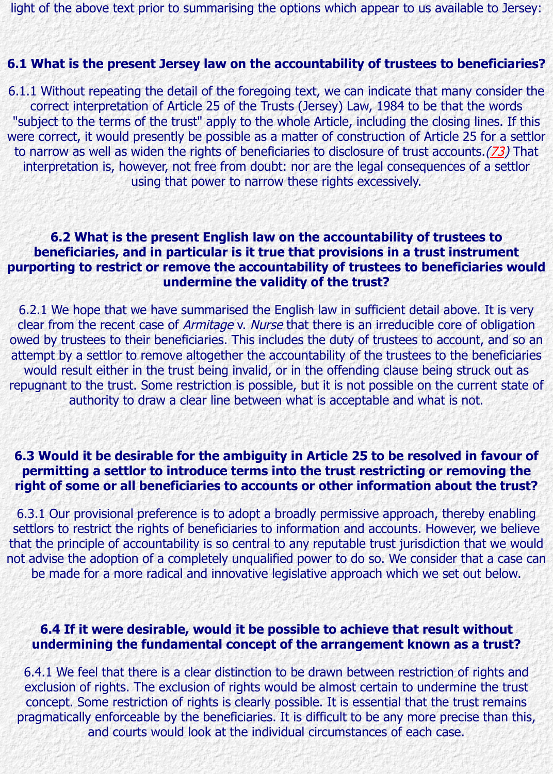to narrow as well as widen the rights of beneficiaries to disclosure of trust accounts. interpretation is, however, not free from doubt: nor are the legal consequences of using that power to narrow these rights excessively.

# **6.2 What is the present English law on the accountability of trustees to beneficiaries, and in particular is it true that provisions in a trust instru** purporting to restrict or remove the accountability of trustees to beneficiar **undermine the validity of the trust?**

6.2.1 We hope that we have summarised the English law in sufficient detail above. clear from the recent case of Armitage v. Nurse that there is an irreducible core of o owed by trustees to their beneficiaries. This includes the duty of trustees to account, attempt by a settlor to remove altogether the accountability of the trustees to the be would result either in the trust being invalid, or in the offending clause being struc repugnant to the trust. Some restriction is possible, but it is not possible on the curre authority to draw a clear line between what is acceptable and what is not.

### **6.3 Would it be desirable for the ambiguity in Article 25 to be resolved in family** permitting a settlor to introduce terms into the trust restricting or remov right of some or all beneficiaries to accounts or other information about the

6.3.1 Our provisional preference is to adopt a broadly permissive approach, thereby settlors to restrict the rights of beneficiaries to information and accounts. However, w that the principle of accountability is so central to any reputable trust jurisdiction that not advise the adoption of a completely unqualified power to do so. We consider that be made for a more radical and innovative legislative approach which we set out

# **6.4 If it were desirable, would it be possible to achieve that result with the U.S. undermining the fundamental concept of the arrangement known as a transformally**

6.4.1 We feel that there is a clear distinction to be drawn between restriction of rights exclusion of rights. The exclusion of rights would be almost certain to undermine t concept. Some restriction of rights is clearly possible. It is essential that the trust i pragmatically enforceable by the beneficiaries. It is difficult to be any more precise and courts would look at the individual circumstances of each case.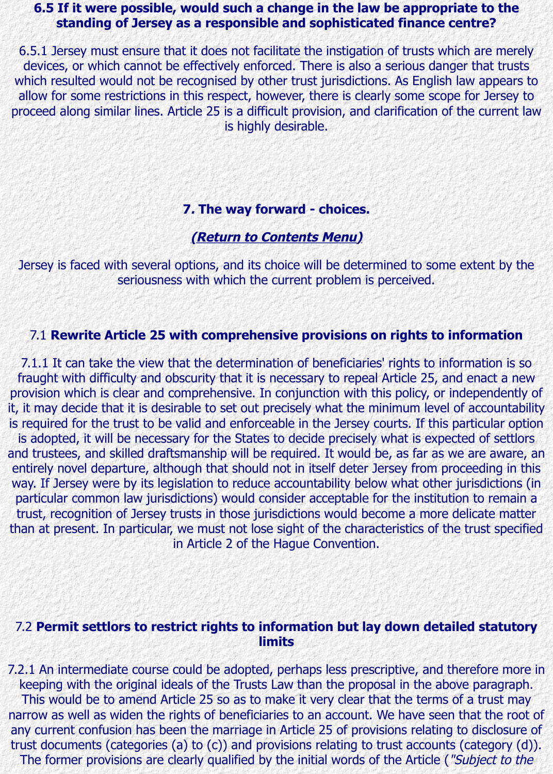#### **7. The way forward - choices.**

#### **(Return to Contents Menu)**

Jersey is faced with several options, and its choice will be determined to some extent by the state. seriousness with which the current problem is perceived.

#### 7.1 **Rewrite Article 25 with comprehensive provisions on rights to information**

7.1.1 It can take the view that the determination of beneficiaries' rights to informat fraught with difficulty and obs[curity that it is necessary to repe](http://www.lawcomm.gov.je/consultation1.html#contents)al Article 25, and ena provision which is clear and comprehensive. In conjunction with this policy, or independently of it, it may decide that it is desirable to set out precisely what the minimum level of accountability. is required for the trust to be valid and enforceable in the Jersey courts. If this partic is adopted, it will be necessary for the States to decide precisely what is expected of and trustees, and skilled draftsmanship will be required. It would be, as far as we are entirely novel departure, although that should not in itself deter Jersey from proceed way. If Jersey were by its legislation to reduce accountability below what other jurisdictions. particular common law jurisdictions) would consider acceptable for the institution to trust, recognition of Jersey trusts in those jurisdictions would become a more delica than at present. In particular, we must not lose sight of the characteristics of the trust in Article 2 of the Hague Convention.

# 7.2 Permit settlors to restrict rights to information but lay down detailed s **limits**

7.2.1 An intermediate course could be adopted, perhaps less prescriptive, and therefore keeping with the original ideals of the Trusts Law than the proposal in the above pa This would be to amend Article 25 so as to make it very clear that the terms of a trust narrow as well as widen the rights of beneficiaries to an account. We have seen that any current confusion has been the marriage in Article 25 of provisions relating to dis trust documents (categories (a) to (c)) and provisions relating to trust accounts (cate The former provisions are clearly qualified by the initial words of the Article ("Subjet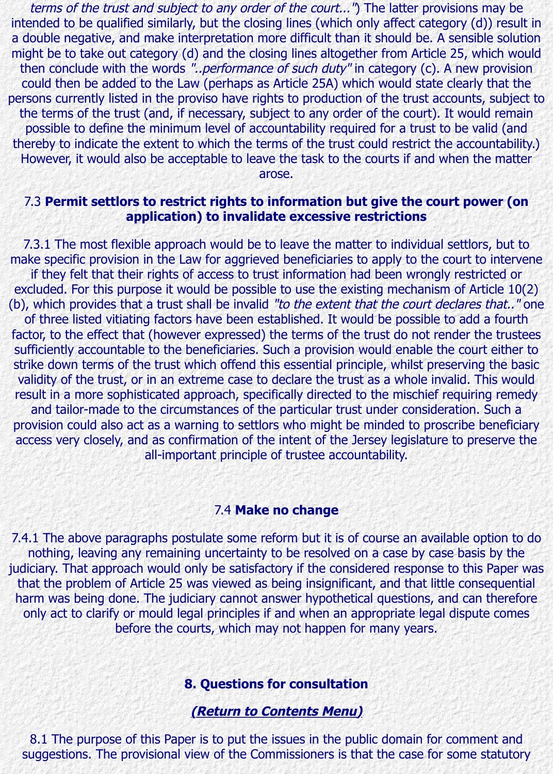thereby to indicate the extent to which the terms of the trust could restrict the accountability.) However, it would also be acceptable to leave the task to the courts if and when the arose.

#### 7.3 Permit settlors to restrict rights to information but give the court pov **application) to invalidate excessive restrictions**

7.3.1 The most flexible approach would be to leave the matter to individual settlors make specific provision in the Law for aggrieved beneficiaries to apply to the court to if they felt that their rights of access to trust information had been wrongly restricted or excluded. For this purpose it would be possible to use the existing mechanism of Art (b), which provides that a trust shall be invalid "to the extent that the court declares of three listed vitiating factors have been established. It would be possible to add factor, to the effect that (however expressed) the terms of the trust do not render the sufficiently accountable to the beneficiaries. Such a provision would enable the court strike down terms of the trust which offend this essential principle, whilst preserving validity of the trust, or in an extreme case to declare the trust as a whole invalid. This result in a more sophisticated approach, specifically directed to the mischief requirin and tailor-made to the circumstances of the particular trust under consideration. provision could also act as a warning to settlors who might be minded to proscribe b access very closely, and as confirmation of the intent of the Jersey legislature to pre all-important principle of trustee accountability.

### 7.4 **Make no change**

7.4.1 The above paragraphs postulate some reform but it is of course an available option. nothing, leaving any remaining uncertainty to be resolved on a case by case basis judiciary. That approach would only be satisfactory if the considered response to this that the problem of Article 25 was viewed as being insignificant, and that little cons harm was being done. The judiciary cannot answer hypothetical questions, and can only act to clarify or mould legal principles if and when an appropriate legal dispute before the courts, which may not happen for many years.

#### **8. Questions for consultation**

**(Return to Contents Menu)**

8.1 The purpose of this Paper is to put the issues in the public domain for comme suggestions. The provisional view of the Commissioners is that the case for some s